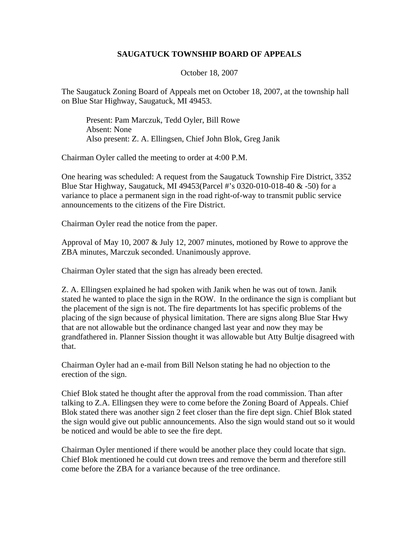## **SAUGATUCK TOWNSHIP BOARD OF APPEALS**

October 18, 2007

The Saugatuck Zoning Board of Appeals met on October 18, 2007, at the township hall on Blue Star Highway, Saugatuck, MI 49453.

Present: Pam Marczuk, Tedd Oyler, Bill Rowe Absent: None Also present: Z. A. Ellingsen, Chief John Blok, Greg Janik

Chairman Oyler called the meeting to order at 4:00 P.M.

One hearing was scheduled: A request from the Saugatuck Township Fire District, 3352 Blue Star Highway, Saugatuck, MI 49453(Parcel #'s 0320-010-018-40 & -50) for a variance to place a permanent sign in the road right-of-way to transmit public service announcements to the citizens of the Fire District.

Chairman Oyler read the notice from the paper.

Approval of May 10, 2007 & July 12, 2007 minutes, motioned by Rowe to approve the ZBA minutes, Marczuk seconded. Unanimously approve.

Chairman Oyler stated that the sign has already been erected.

Z. A. Ellingsen explained he had spoken with Janik when he was out of town. Janik stated he wanted to place the sign in the ROW. In the ordinance the sign is compliant but the placement of the sign is not. The fire departments lot has specific problems of the placing of the sign because of physical limitation. There are signs along Blue Star Hwy that are not allowable but the ordinance changed last year and now they may be grandfathered in. Planner Sission thought it was allowable but Atty Bultje disagreed with that.

Chairman Oyler had an e-mail from Bill Nelson stating he had no objection to the erection of the sign.

Chief Blok stated he thought after the approval from the road commission. Than after talking to Z.A. Ellingsen they were to come before the Zoning Board of Appeals. Chief Blok stated there was another sign 2 feet closer than the fire dept sign. Chief Blok stated the sign would give out public announcements. Also the sign would stand out so it would be noticed and would be able to see the fire dept.

Chairman Oyler mentioned if there would be another place they could locate that sign. Chief Blok mentioned he could cut down trees and remove the berm and therefore still come before the ZBA for a variance because of the tree ordinance.